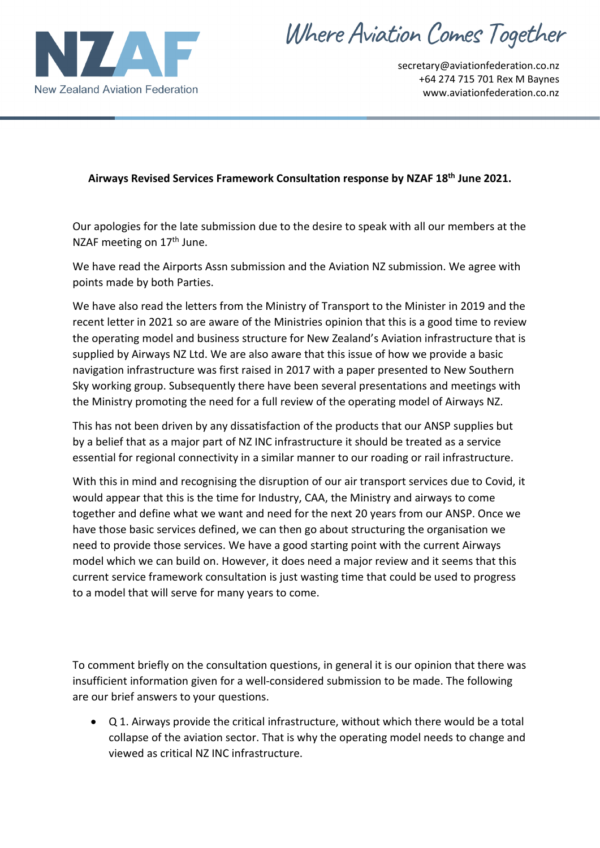

Where Aviation Comes Together

secretary@aviationfederation.co.nz +64 274 715 701 Rex M Baynes www.aviationfederation.co.nz

## **Airways Revised Services Framework Consultation response by NZAF 18th June 2021.**

Our apologies for the late submission due to the desire to speak with all our members at the NZAF meeting on 17<sup>th</sup> June.

We have read the Airports Assn submission and the Aviation NZ submission. We agree with points made by both Parties.

We have also read the letters from the Ministry of Transport to the Minister in 2019 and the recent letter in 2021 so are aware of the Ministries opinion that this is a good time to review the operating model and business structure for New Zealand's Aviation infrastructure that is supplied by Airways NZ Ltd. We are also aware that this issue of how we provide a basic navigation infrastructure was first raised in 2017 with a paper presented to New Southern Sky working group. Subsequently there have been several presentations and meetings with the Ministry promoting the need for a full review of the operating model of Airways NZ.

This has not been driven by any dissatisfaction of the products that our ANSP supplies but by a belief that as a major part of NZ INC infrastructure it should be treated as a service essential for regional connectivity in a similar manner to our roading or rail infrastructure.

With this in mind and recognising the disruption of our air transport services due to Covid, it would appear that this is the time for Industry, CAA, the Ministry and airways to come together and define what we want and need for the next 20 years from our ANSP. Once we have those basic services defined, we can then go about structuring the organisation we need to provide those services. We have a good starting point with the current Airways model which we can build on. However, it does need a major review and it seems that this current service framework consultation is just wasting time that could be used to progress to a model that will serve for many years to come.

To comment briefly on the consultation questions, in general it is our opinion that there was insufficient information given for a well-considered submission to be made. The following are our brief answers to your questions.

• Q 1. Airways provide the critical infrastructure, without which there would be a total collapse of the aviation sector. That is why the operating model needs to change and viewed as critical NZ INC infrastructure.